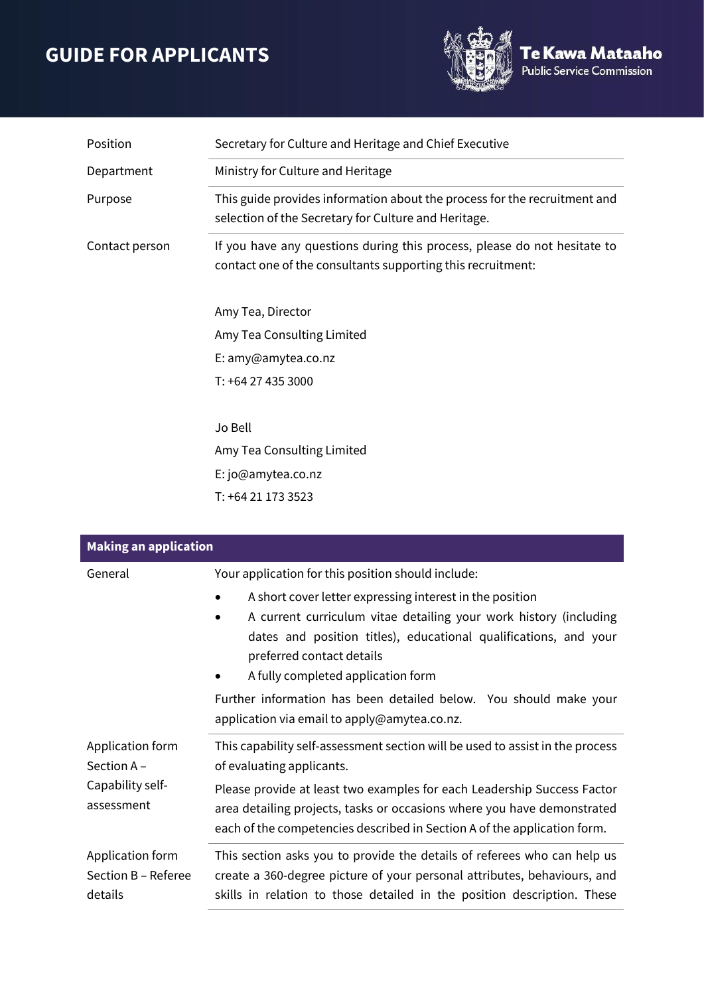## **GUIDE FOR APPLICANTS**



| Position       | Secretary for Culture and Heritage and Chief Executive                                                                                  |
|----------------|-----------------------------------------------------------------------------------------------------------------------------------------|
| Department     | Ministry for Culture and Heritage                                                                                                       |
| Purpose        | This guide provides information about the process for the recruitment and<br>selection of the Secretary for Culture and Heritage.       |
| Contact person | If you have any questions during this process, please do not hesitate to<br>contact one of the consultants supporting this recruitment: |
|                | Amy Tea, Director                                                                                                                       |
|                | Amy Tea Consulting Limited                                                                                                              |
|                | E: amy@amytea.co.nz                                                                                                                     |
|                | T: +64 27 435 3000                                                                                                                      |
|                | Jo Bell                                                                                                                                 |
|                | Amy Tea Consulting Limited                                                                                                              |
|                | E: jo@amytea.co.nz                                                                                                                      |
|                | T: +64 21 173 3523                                                                                                                      |

| <b>Making an application</b>                                     |                                                                                                                                                                                                                                                                                                                                              |  |
|------------------------------------------------------------------|----------------------------------------------------------------------------------------------------------------------------------------------------------------------------------------------------------------------------------------------------------------------------------------------------------------------------------------------|--|
| General                                                          | Your application for this position should include:<br>A short cover letter expressing interest in the position<br>A current curriculum vitae detailing your work history (including<br>$\bullet$<br>dates and position titles), educational qualifications, and your<br>preferred contact details                                            |  |
|                                                                  | A fully completed application form<br>Further information has been detailed below. You should make your<br>application via email to apply@amytea.co.nz.                                                                                                                                                                                      |  |
| Application form<br>Section A-<br>Capability self-<br>assessment | This capability self-assessment section will be used to assist in the process<br>of evaluating applicants.<br>Please provide at least two examples for each Leadership Success Factor<br>area detailing projects, tasks or occasions where you have demonstrated<br>each of the competencies described in Section A of the application form. |  |
| Application form<br>Section B - Referee<br>details               | This section asks you to provide the details of referees who can help us<br>create a 360-degree picture of your personal attributes, behaviours, and<br>skills in relation to those detailed in the position description. These                                                                                                              |  |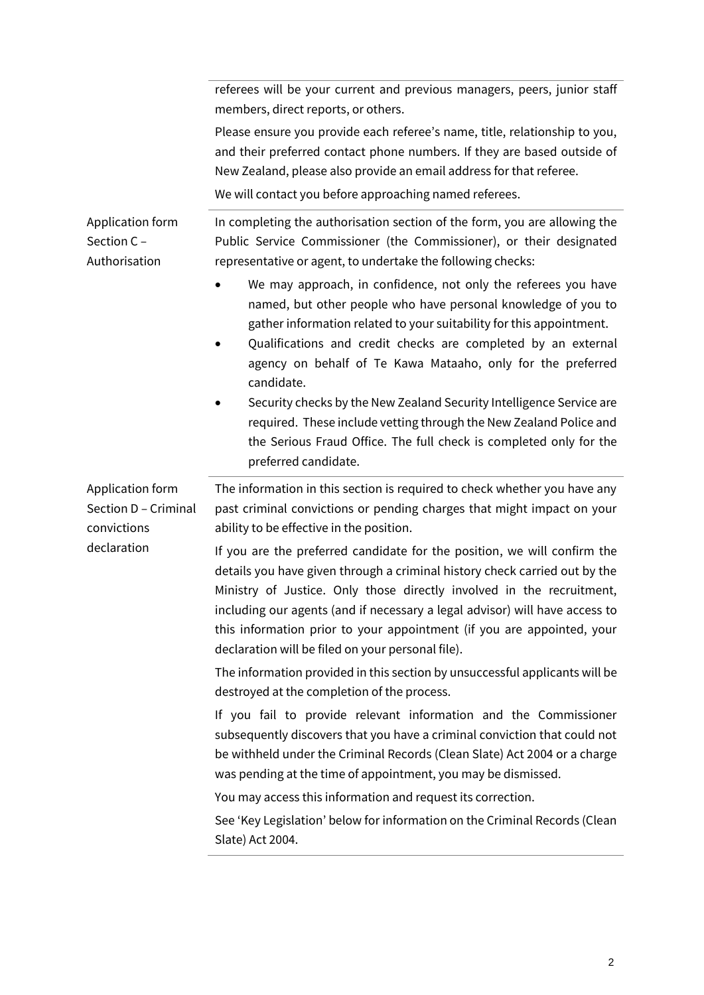|                                                                        | referees will be your current and previous managers, peers, junior staff<br>members, direct reports, or others.                                                                                                                                                                                                                                                                                                                               |
|------------------------------------------------------------------------|-----------------------------------------------------------------------------------------------------------------------------------------------------------------------------------------------------------------------------------------------------------------------------------------------------------------------------------------------------------------------------------------------------------------------------------------------|
|                                                                        | Please ensure you provide each referee's name, title, relationship to you,<br>and their preferred contact phone numbers. If they are based outside of<br>New Zealand, please also provide an email address for that referee.<br>We will contact you before approaching named referees.                                                                                                                                                        |
| Application form<br>Section C -<br>Authorisation                       | In completing the authorisation section of the form, you are allowing the<br>Public Service Commissioner (the Commissioner), or their designated<br>representative or agent, to undertake the following checks:                                                                                                                                                                                                                               |
|                                                                        | We may approach, in confidence, not only the referees you have<br>named, but other people who have personal knowledge of you to<br>gather information related to your suitability for this appointment.<br>Qualifications and credit checks are completed by an external<br>agency on behalf of Te Kawa Mataaho, only for the preferred<br>candidate.<br>Security checks by the New Zealand Security Intelligence Service are                 |
|                                                                        | required. These include vetting through the New Zealand Police and<br>the Serious Fraud Office. The full check is completed only for the<br>preferred candidate.                                                                                                                                                                                                                                                                              |
| Application form<br>Section D - Criminal<br>convictions<br>declaration | The information in this section is required to check whether you have any<br>past criminal convictions or pending charges that might impact on your<br>ability to be effective in the position.                                                                                                                                                                                                                                               |
|                                                                        | If you are the preferred candidate for the position, we will confirm the<br>details you have given through a criminal history check carried out by the<br>Ministry of Justice. Only those directly involved in the recruitment,<br>including our agents (and if necessary a legal advisor) will have access to<br>this information prior to your appointment (if you are appointed, your<br>declaration will be filed on your personal file). |
|                                                                        | The information provided in this section by unsuccessful applicants will be<br>destroyed at the completion of the process.                                                                                                                                                                                                                                                                                                                    |
|                                                                        | If you fail to provide relevant information and the Commissioner<br>subsequently discovers that you have a criminal conviction that could not<br>be withheld under the Criminal Records (Clean Slate) Act 2004 or a charge<br>was pending at the time of appointment, you may be dismissed.                                                                                                                                                   |
|                                                                        | You may access this information and request its correction.<br>See 'Key Legislation' below for information on the Criminal Records (Clean<br>Slate) Act 2004.                                                                                                                                                                                                                                                                                 |
|                                                                        |                                                                                                                                                                                                                                                                                                                                                                                                                                               |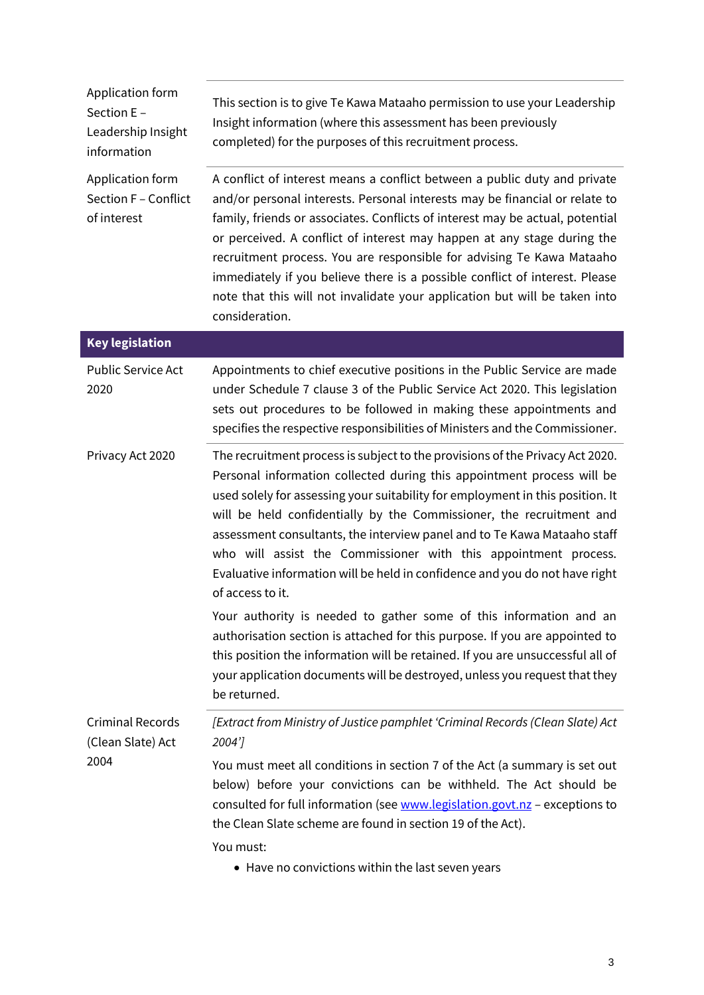| Application form<br>Section E -<br>Leadership Insight<br>information | This section is to give Te Kawa Mataaho permission to use your Leadership<br>Insight information (where this assessment has been previously<br>completed) for the purposes of this recruitment process.                                                                                                                                                                                                                                                                                                                                                                      |
|----------------------------------------------------------------------|------------------------------------------------------------------------------------------------------------------------------------------------------------------------------------------------------------------------------------------------------------------------------------------------------------------------------------------------------------------------------------------------------------------------------------------------------------------------------------------------------------------------------------------------------------------------------|
| Application form<br>Section F - Conflict<br>of interest              | A conflict of interest means a conflict between a public duty and private<br>and/or personal interests. Personal interests may be financial or relate to<br>family, friends or associates. Conflicts of interest may be actual, potential<br>or perceived. A conflict of interest may happen at any stage during the<br>recruitment process. You are responsible for advising Te Kawa Mataaho<br>immediately if you believe there is a possible conflict of interest. Please<br>note that this will not invalidate your application but will be taken into<br>consideration. |
| <b>Key legislation</b>                                               |                                                                                                                                                                                                                                                                                                                                                                                                                                                                                                                                                                              |
| <b>Public Service Act</b><br>2020                                    | Appointments to chief executive positions in the Public Service are made<br>under Schedule 7 clause 3 of the Public Service Act 2020. This legislation<br>sets out procedures to be followed in making these appointments and<br>specifies the respective responsibilities of Ministers and the Commissioner.                                                                                                                                                                                                                                                                |
| Privacy Act 2020                                                     | The recruitment process is subject to the provisions of the Privacy Act 2020.<br>Personal information collected during this appointment process will be<br>used solely for assessing your suitability for employment in this position. It<br>will be held confidentially by the Commissioner, the recruitment and<br>assessment consultants, the interview panel and to Te Kawa Mataaho staff<br>who will assist the Commissioner with this appointment process.<br>Evaluative information will be held in confidence and you do not have right<br>of access to it.          |
|                                                                      | Your authority is needed to gather some of this information and an<br>authorisation section is attached for this purpose. If you are appointed to<br>this position the information will be retained. If you are unsuccessful all of<br>your application documents will be destroyed, unless you request that they<br>be returned.                                                                                                                                                                                                                                            |
| <b>Criminal Records</b><br>(Clean Slate) Act<br>2004                 | [Extract from Ministry of Justice pamphlet 'Criminal Records (Clean Slate) Act<br>2004']                                                                                                                                                                                                                                                                                                                                                                                                                                                                                     |
|                                                                      | You must meet all conditions in section 7 of the Act (a summary is set out<br>below) before your convictions can be withheld. The Act should be<br>consulted for full information (see www.legislation.govt.nz - exceptions to<br>the Clean Slate scheme are found in section 19 of the Act).<br>You must:                                                                                                                                                                                                                                                                   |
|                                                                      | • Have no convictions within the last seven years                                                                                                                                                                                                                                                                                                                                                                                                                                                                                                                            |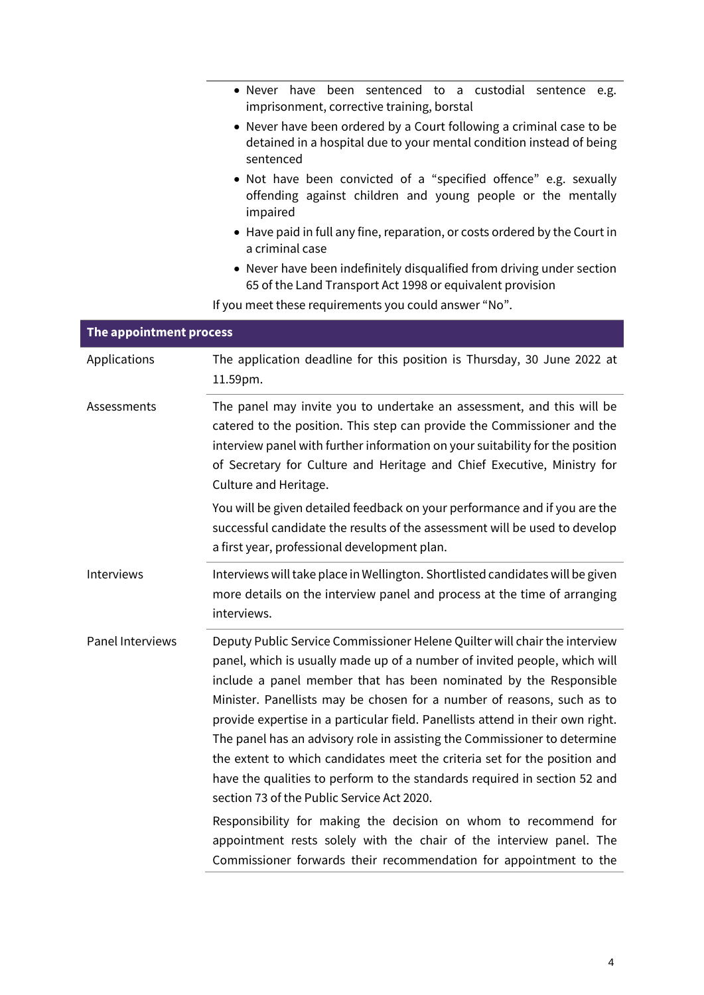|                         | · Never have been sentenced to a custodial sentence e.g.<br>imprisonment, corrective training, borstal                                                                                                                                                                                                                                                                                                                                                                                                                                                                                                                                                                                                                                                                                                                  |
|-------------------------|-------------------------------------------------------------------------------------------------------------------------------------------------------------------------------------------------------------------------------------------------------------------------------------------------------------------------------------------------------------------------------------------------------------------------------------------------------------------------------------------------------------------------------------------------------------------------------------------------------------------------------------------------------------------------------------------------------------------------------------------------------------------------------------------------------------------------|
|                         | • Never have been ordered by a Court following a criminal case to be<br>detained in a hospital due to your mental condition instead of being<br>sentenced                                                                                                                                                                                                                                                                                                                                                                                                                                                                                                                                                                                                                                                               |
|                         | • Not have been convicted of a "specified offence" e.g. sexually<br>offending against children and young people or the mentally<br>impaired                                                                                                                                                                                                                                                                                                                                                                                                                                                                                                                                                                                                                                                                             |
|                         | • Have paid in full any fine, reparation, or costs ordered by the Court in<br>a criminal case                                                                                                                                                                                                                                                                                                                                                                                                                                                                                                                                                                                                                                                                                                                           |
|                         | • Never have been indefinitely disqualified from driving under section<br>65 of the Land Transport Act 1998 or equivalent provision                                                                                                                                                                                                                                                                                                                                                                                                                                                                                                                                                                                                                                                                                     |
|                         | If you meet these requirements you could answer "No".                                                                                                                                                                                                                                                                                                                                                                                                                                                                                                                                                                                                                                                                                                                                                                   |
| The appointment process |                                                                                                                                                                                                                                                                                                                                                                                                                                                                                                                                                                                                                                                                                                                                                                                                                         |
| Applications            | The application deadline for this position is Thursday, 30 June 2022 at<br>11.59pm.                                                                                                                                                                                                                                                                                                                                                                                                                                                                                                                                                                                                                                                                                                                                     |
| Assessments             | The panel may invite you to undertake an assessment, and this will be<br>catered to the position. This step can provide the Commissioner and the<br>interview panel with further information on your suitability for the position<br>of Secretary for Culture and Heritage and Chief Executive, Ministry for<br>Culture and Heritage.                                                                                                                                                                                                                                                                                                                                                                                                                                                                                   |
|                         | You will be given detailed feedback on your performance and if you are the<br>successful candidate the results of the assessment will be used to develop<br>a first year, professional development plan.                                                                                                                                                                                                                                                                                                                                                                                                                                                                                                                                                                                                                |
| Interviews              | Interviews will take place in Wellington. Shortlisted candidates will be given<br>more details on the interview panel and process at the time of arranging<br>interviews.                                                                                                                                                                                                                                                                                                                                                                                                                                                                                                                                                                                                                                               |
| Panel Interviews        | Deputy Public Service Commissioner Helene Quilter will chair the interview<br>panel, which is usually made up of a number of invited people, which will<br>include a panel member that has been nominated by the Responsible<br>Minister. Panellists may be chosen for a number of reasons, such as to<br>provide expertise in a particular field. Panellists attend in their own right.<br>The panel has an advisory role in assisting the Commissioner to determine<br>the extent to which candidates meet the criteria set for the position and<br>have the qualities to perform to the standards required in section 52 and<br>section 73 of the Public Service Act 2020.<br>Responsibility for making the decision on whom to recommend for<br>appointment rests solely with the chair of the interview panel. The |